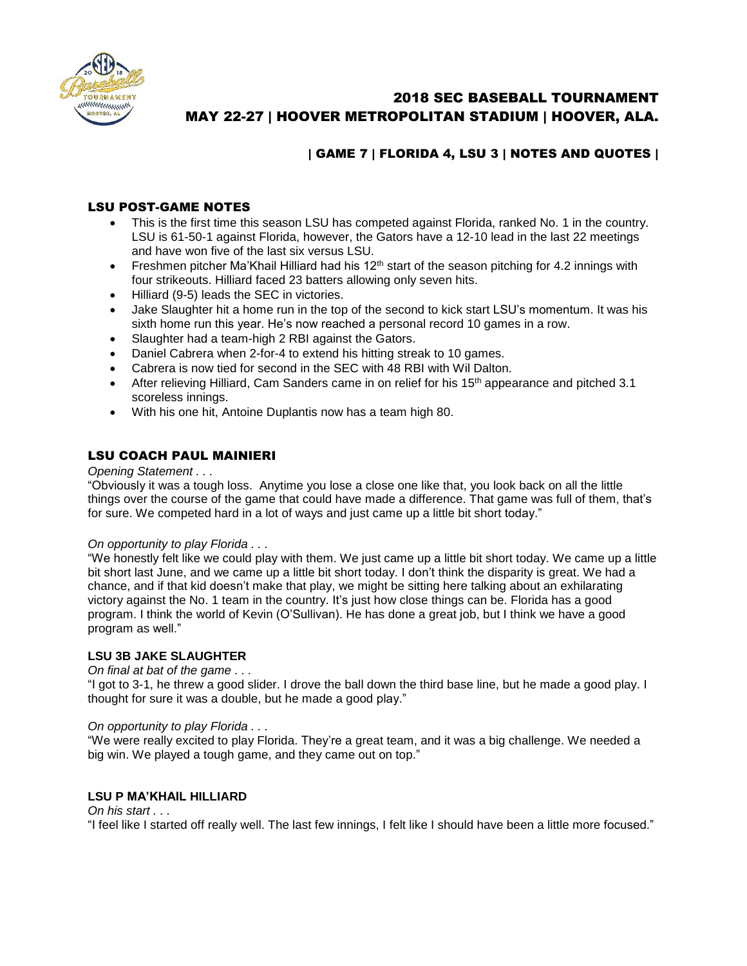

# 2018 SEC BASEBALL TOURNAMENT MAY 22-27 | HOOVER METROPOLITAN STADIUM | HOOVER, ALA.

## | GAME 7 | FLORIDA 4, LSU 3 | NOTES AND QUOTES |

## LSU POST-GAME NOTES

- This is the first time this season LSU has competed against Florida, ranked No. 1 in the country. LSU is 61-50-1 against Florida, however, the Gators have a 12-10 lead in the last 22 meetings and have won five of the last six versus LSU.
- Freshmen pitcher Ma'Khail Hilliard had his  $12<sup>th</sup>$  start of the season pitching for 4.2 innings with four strikeouts. Hilliard faced 23 batters allowing only seven hits.
- Hilliard (9-5) leads the SEC in victories.
- Jake Slaughter hit a home run in the top of the second to kick start LSU's momentum. It was his sixth home run this year. He's now reached a personal record 10 games in a row.
- Slaughter had a team-high 2 RBI against the Gators.
- Daniel Cabrera when 2-for-4 to extend his hitting streak to 10 games.
- Cabrera is now tied for second in the SEC with 48 RBI with Wil Dalton.
- After relieving Hilliard, Cam Sanders came in on relief for his 15<sup>th</sup> appearance and pitched 3.1 scoreless innings.
- With his one hit, Antoine Duplantis now has a team high 80.

## LSU COACH PAUL MAINIERI

*Opening Statement . . .* 

"Obviously it was a tough loss. Anytime you lose a close one like that, you look back on all the little things over the course of the game that could have made a difference. That game was full of them, that's for sure. We competed hard in a lot of ways and just came up a little bit short today."

#### *On opportunity to play Florida . . .*

"We honestly felt like we could play with them. We just came up a little bit short today. We came up a little bit short last June, and we came up a little bit short today. I don't think the disparity is great. We had a chance, and if that kid doesn't make that play, we might be sitting here talking about an exhilarating victory against the No. 1 team in the country. It's just how close things can be. Florida has a good program. I think the world of Kevin (O'Sullivan). He has done a great job, but I think we have a good program as well."

#### **LSU 3B JAKE SLAUGHTER**

#### *On final at bat of the game . . .*

"I got to 3-1, he threw a good slider. I drove the ball down the third base line, but he made a good play. I thought for sure it was a double, but he made a good play."

#### *On opportunity to play Florida . . .*

"We were really excited to play Florida. They're a great team, and it was a big challenge. We needed a big win. We played a tough game, and they came out on top."

#### **LSU P MA'KHAIL HILLIARD**

#### *On his start . . .*

"I feel like I started off really well. The last few innings, I felt like I should have been a little more focused."